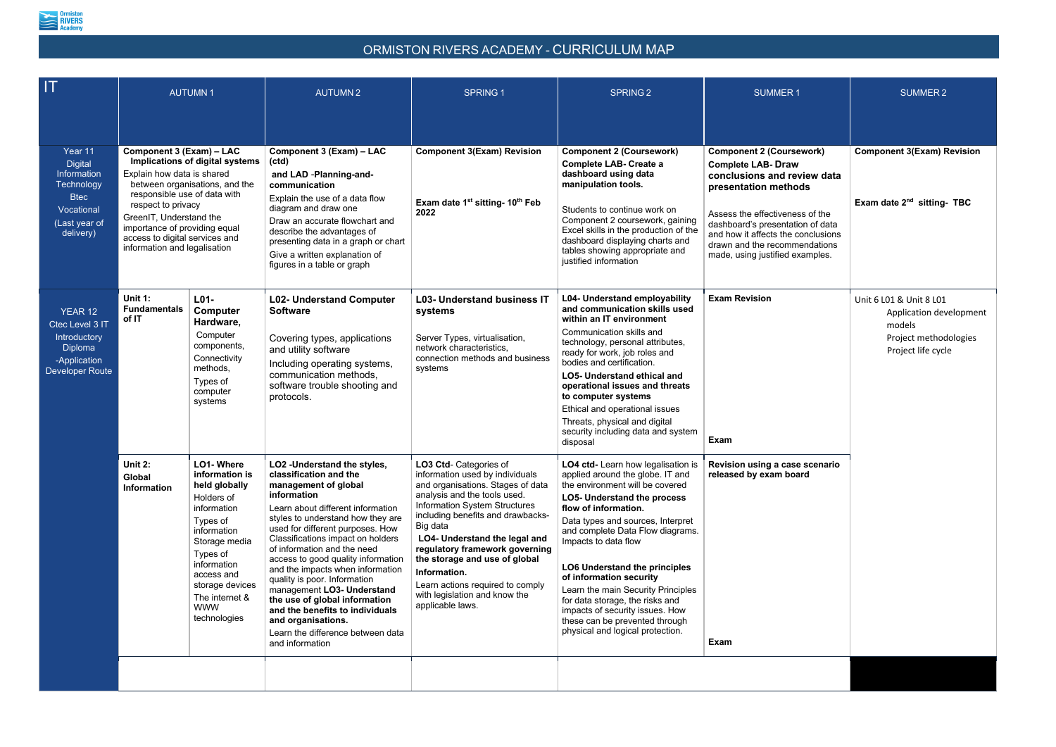

## ORMISTON RIVERS ACADEMY - CURRICULUM MAP

| <b>AUTUMN1</b>                                                                                                                                                                                                                                                                                                                                                              |                                                                                                                                                                                                 | <b>AUTUMN2</b>                                                                                                                                                                                                                                                                                                                                                                                                                                                                                                                                                            | <b>SPRING 1</b>                                                                                                                                                                                                                                                                                                                                                                                                               | SPRING <sub>2</sub>                                                                                                                                                                                                                                                                                                                                                                                                                                                                                                    | <b>SUMMER1</b>                                                                                                                                                                                                                                                                                       | <b>SUMMER 2</b>                                                                                             |
|-----------------------------------------------------------------------------------------------------------------------------------------------------------------------------------------------------------------------------------------------------------------------------------------------------------------------------------------------------------------------------|-------------------------------------------------------------------------------------------------------------------------------------------------------------------------------------------------|---------------------------------------------------------------------------------------------------------------------------------------------------------------------------------------------------------------------------------------------------------------------------------------------------------------------------------------------------------------------------------------------------------------------------------------------------------------------------------------------------------------------------------------------------------------------------|-------------------------------------------------------------------------------------------------------------------------------------------------------------------------------------------------------------------------------------------------------------------------------------------------------------------------------------------------------------------------------------------------------------------------------|------------------------------------------------------------------------------------------------------------------------------------------------------------------------------------------------------------------------------------------------------------------------------------------------------------------------------------------------------------------------------------------------------------------------------------------------------------------------------------------------------------------------|------------------------------------------------------------------------------------------------------------------------------------------------------------------------------------------------------------------------------------------------------------------------------------------------------|-------------------------------------------------------------------------------------------------------------|
| Component 3 (Exam) - LAC<br>Implications of digital systems<br>Information<br>Explain how data is shared<br>Technology<br>between organisations, and the<br>responsible use of data with<br>respect to privacy<br>Vocational<br>GreenIT, Understand the<br>(Last year of<br>importance of providing equal<br>access to digital services and<br>information and legalisation |                                                                                                                                                                                                 | Component 3 (Exam) - LAC<br>(ctd)<br>and LAD -Planning-and-<br>communication<br>Explain the use of a data flow<br>diagram and draw one<br>Draw an accurate flowchart and<br>describe the advantages of<br>presenting data in a graph or chart<br>Give a written explanation of<br>figures in a table or graph                                                                                                                                                                                                                                                             | <b>Component 3(Exam) Revision</b><br>Exam date 1 <sup>st</sup> sitting- 10 <sup>th</sup> Feb<br>2022                                                                                                                                                                                                                                                                                                                          | <b>Component 2 (Coursework)</b><br><b>Complete LAB- Create a</b><br>dashboard using data<br>manipulation tools.<br>Students to continue work on<br>Component 2 coursework, gaining<br>Excel skills in the production of the<br>dashboard displaying charts and<br>tables showing appropriate and<br>justified information                                                                                                                                                                                              | <b>Component 2 (Coursework)</b><br><b>Complete LAB- Draw</b><br>conclusions and review data<br>presentation methods<br>Assess the effectiveness of the<br>dashboard's presentation of data<br>and how it affects the conclusions<br>drawn and the recommendations<br>made, using justified examples. | <b>Component 3(Exam) Revision</b><br>Exam date $2^{nd}$ sitting- TBC                                        |
| Unit 1:<br><b>Fundamentals</b><br>of IT                                                                                                                                                                                                                                                                                                                                     | L01-<br>Hardware,<br>Computer<br>components,<br>Connectivity<br>methods,<br>Types of<br>computer<br>systems                                                                                     | <b>L02- Understand Computer</b><br><b>Software</b><br>Covering types, applications<br>and utility software<br>Including operating systems,<br>communication methods,<br>software trouble shooting and<br>protocols.                                                                                                                                                                                                                                                                                                                                                       | <b>L03- Understand business IT</b><br>systems<br>Server Types, virtualisation,<br>network characteristics,<br>connection methods and business<br>systems                                                                                                                                                                                                                                                                      | L04- Understand employability<br>and communication skills used<br>within an IT environment<br>Communication skills and<br>technology, personal attributes,<br>ready for work, job roles and<br>bodies and certification.<br><b>LO5- Understand ethical and</b><br>operational issues and threats<br>to computer systems<br>Ethical and operational issues<br>Threats, physical and digital<br>security including data and system<br>disposal                                                                           | <b>Exam Revision</b>                                                                                                                                                                                                                                                                                 | Unit 6 L01 & Unit 8 L01<br>Application development<br>models<br>Project methodologies<br>Project life cycle |
| Unit 2:<br>Global<br><b>Information</b>                                                                                                                                                                                                                                                                                                                                     | LO1-Where<br>information is<br>Holders of<br>information<br>Types of<br>information<br>Types of<br>information<br>access and<br>storage devices<br>The internet &<br><b>WWW</b><br>technologies | LO2 - Understand the styles,<br>classification and the<br>management of global<br>information<br>Learn about different information<br>styles to understand how they are<br>used for different purposes. How<br>Classifications impact on holders<br>of information and the need<br>access to good quality information<br>and the impacts when information<br>quality is poor. Information<br>management LO3- Understand<br>the use of global information<br>and the benefits to individuals<br>and organisations.<br>Learn the difference between data<br>and information | LO3 Ctd- Categories of<br>information used by individuals<br>and organisations. Stages of data<br>analysis and the tools used.<br>Information System Structures<br>including benefits and drawbacks-<br>Big data<br>LO4- Understand the legal and<br>regulatory framework governing<br>the storage and use of global<br>Information.<br>Learn actions required to comply<br>with legislation and know the<br>applicable laws. | LO4 ctd- Learn how legalisation is<br>applied around the globe. IT and<br>the environment will be covered<br>LO5- Understand the process<br>flow of information.<br>Data types and sources, Interpret<br>and complete Data Flow diagrams.<br>Impacts to data flow<br><b>LO6 Understand the principles</b><br>of information security<br>Learn the main Security Principles<br>for data storage, the risks and<br>impacts of security issues. How<br>these can be prevented through<br>physical and logical protection. | Revision using a case scenario<br>released by exam board<br>Exam                                                                                                                                                                                                                                     |                                                                                                             |
|                                                                                                                                                                                                                                                                                                                                                                             |                                                                                                                                                                                                 | Computer<br>held globally<br>Storage media                                                                                                                                                                                                                                                                                                                                                                                                                                                                                                                                |                                                                                                                                                                                                                                                                                                                                                                                                                               |                                                                                                                                                                                                                                                                                                                                                                                                                                                                                                                        |                                                                                                                                                                                                                                                                                                      | Exam                                                                                                        |